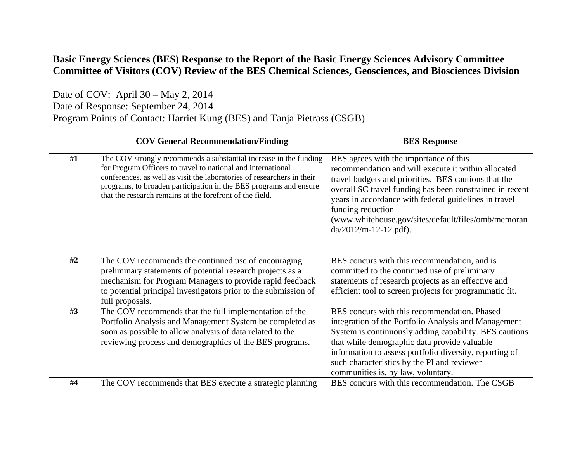## **Basic Energy Sciences (BES) Response to the Report of the Basic Energy Sciences Advisory Committee Committee of Visitors (COV) Review of the BES Chemical Sciences, Geosciences, and Biosciences Division**

Date of COV: April 30 – May 2, 2014

Date of Response: September 24, 2014

Program Points of Contact: Harriet Kung (BES) and Tanja Pietrass (CSGB)

|    | <b>COV General Recommendation/Finding</b>                                                                                                                                                                                                                                                                                                    | <b>BES</b> Response                                                                                                                                                                                                                                                                                                                                                                |
|----|----------------------------------------------------------------------------------------------------------------------------------------------------------------------------------------------------------------------------------------------------------------------------------------------------------------------------------------------|------------------------------------------------------------------------------------------------------------------------------------------------------------------------------------------------------------------------------------------------------------------------------------------------------------------------------------------------------------------------------------|
| #1 | The COV strongly recommends a substantial increase in the funding<br>for Program Officers to travel to national and international<br>conferences, as well as visit the laboratories of researchers in their<br>programs, to broaden participation in the BES programs and ensure<br>that the research remains at the forefront of the field. | BES agrees with the importance of this<br>recommendation and will execute it within allocated<br>travel budgets and priorities. BES cautions that the<br>overall SC travel funding has been constrained in recent<br>years in accordance with federal guidelines in travel<br>funding reduction<br>(www.whitehouse.gov/sites/default/files/omb/memoran<br>$da/2012/m-12-12.pdf$ ). |
| #2 | The COV recommends the continued use of encouraging<br>preliminary statements of potential research projects as a<br>mechanism for Program Managers to provide rapid feedback<br>to potential principal investigators prior to the submission of<br>full proposals.                                                                          | BES concurs with this recommendation, and is<br>committed to the continued use of preliminary<br>statements of research projects as an effective and<br>efficient tool to screen projects for programmatic fit.                                                                                                                                                                    |
| #3 | The COV recommends that the full implementation of the<br>Portfolio Analysis and Management System be completed as<br>soon as possible to allow analysis of data related to the<br>reviewing process and demographics of the BES programs.                                                                                                   | BES concurs with this recommendation. Phased<br>integration of the Portfolio Analysis and Management<br>System is continuously adding capability. BES cautions<br>that while demographic data provide valuable<br>information to assess portfolio diversity, reporting of<br>such characteristics by the PI and reviewer<br>communities is, by law, voluntary.                     |
| #4 | The COV recommends that BES execute a strategic planning                                                                                                                                                                                                                                                                                     | BES concurs with this recommendation. The CSGB                                                                                                                                                                                                                                                                                                                                     |